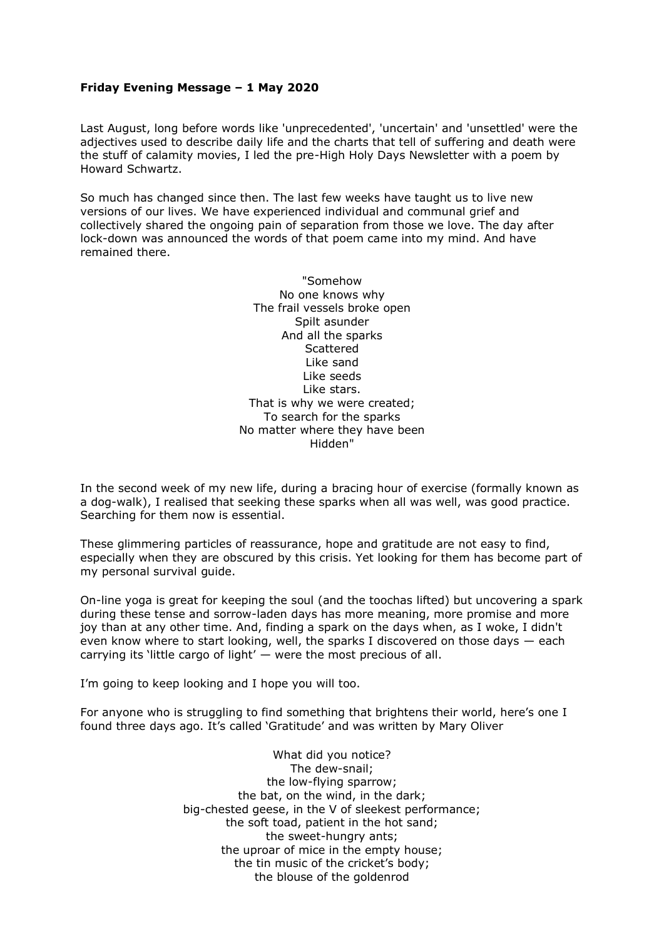## **Friday Evening Message – 1 May 2020**

Last August, long before words like 'unprecedented', 'uncertain' and 'unsettled' were the adjectives used to describe daily life and the charts that tell of suffering and death were the stuff of calamity movies, I led the pre-High Holy Days Newsletter with a poem by Howard Schwartz.

So much has changed since then. The last few weeks have taught us to live new versions of our lives. We have experienced individual and communal grief and collectively shared the ongoing pain of separation from those we love. The day after lock-down was announced the words of that poem came into my mind. And have remained there.

> "Somehow No one knows why The frail vessels broke open Spilt asunder And all the sparks **Scattered** Like sand Like seeds Like stars. That is why we were created; To search for the sparks No matter where they have been Hidden"

In the second week of my new life, during a bracing hour of exercise (formally known as a dog-walk), I realised that seeking these sparks when all was well, was good practice. Searching for them now is essential.

These glimmering particles of reassurance, hope and gratitude are not easy to find, especially when they are obscured by this crisis. Yet looking for them has become part of my personal survival guide.

On-line yoga is great for keeping the soul (and the toochas lifted) but uncovering a spark during these tense and sorrow-laden days has more meaning, more promise and more joy than at any other time. And, finding a spark on the days when, as I woke, I didn't even know where to start looking, well, the sparks I discovered on those days — each carrying its 'little cargo of light' — were the most precious of all.

I'm going to keep looking and I hope you will too.

For anyone who is struggling to find something that brightens their world, here's one I found three days ago. It's called 'Gratitude' and was written by Mary Oliver

> What did you notice? The dew-snail; the low-flying sparrow; the bat, on the wind, in the dark; big-chested geese, in the V of sleekest performance; the soft toad, patient in the hot sand; the sweet-hungry ants; the uproar of mice in the empty house; the tin music of the cricket's body; the blouse of the goldenrod